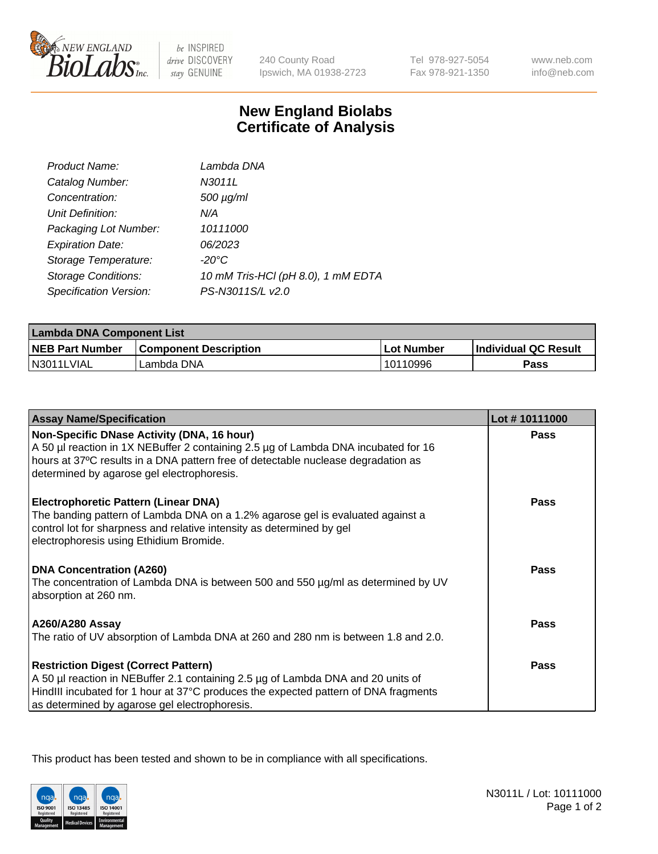

 $be$  INSPIRED drive DISCOVERY stay GENUINE

240 County Road Ipswich, MA 01938-2723 Tel 978-927-5054 Fax 978-921-1350

www.neb.com info@neb.com

## **New England Biolabs Certificate of Analysis**

| Product Name:              | Lambda DNA                         |
|----------------------------|------------------------------------|
| Catalog Number:            | N3011L                             |
| Concentration:             | $500 \mu g/ml$                     |
| Unit Definition:           | N/A                                |
| Packaging Lot Number:      | 10111000                           |
| <b>Expiration Date:</b>    | 06/2023                            |
| Storage Temperature:       | $-20^{\circ}$ C                    |
| <b>Storage Conditions:</b> | 10 mM Tris-HCl (pH 8.0), 1 mM EDTA |
| Specification Version:     | PS-N3011S/L v2.0                   |

| Lambda DNA Component List |                              |              |                      |  |
|---------------------------|------------------------------|--------------|----------------------|--|
| <b>NEB Part Number</b>    | <b>Component Description</b> | l Lot Number | Individual QC Result |  |
| N3011LVIAL                | Lambda DNA                   | 10110996     | Pass                 |  |

| <b>Assay Name/Specification</b>                                                                                                                                                                                                                                         | Lot #10111000 |
|-------------------------------------------------------------------------------------------------------------------------------------------------------------------------------------------------------------------------------------------------------------------------|---------------|
| Non-Specific DNase Activity (DNA, 16 hour)<br>A 50 µl reaction in 1X NEBuffer 2 containing 2.5 µg of Lambda DNA incubated for 16<br>hours at 37°C results in a DNA pattern free of detectable nuclease degradation as<br>determined by agarose gel electrophoresis.     | <b>Pass</b>   |
| <b>Electrophoretic Pattern (Linear DNA)</b><br>The banding pattern of Lambda DNA on a 1.2% agarose gel is evaluated against a<br>control lot for sharpness and relative intensity as determined by gel<br>electrophoresis using Ethidium Bromide.                       | <b>Pass</b>   |
| <b>DNA Concentration (A260)</b><br>The concentration of Lambda DNA is between 500 and 550 µg/ml as determined by UV<br>absorption at 260 nm.                                                                                                                            | Pass          |
| <b>A260/A280 Assay</b><br>The ratio of UV absorption of Lambda DNA at 260 and 280 nm is between 1.8 and 2.0.                                                                                                                                                            | Pass          |
| <b>Restriction Digest (Correct Pattern)</b><br>A 50 µl reaction in NEBuffer 2.1 containing 2.5 µg of Lambda DNA and 20 units of<br>HindIII incubated for 1 hour at 37°C produces the expected pattern of DNA fragments<br>as determined by agarose gel electrophoresis. | Pass          |

This product has been tested and shown to be in compliance with all specifications.